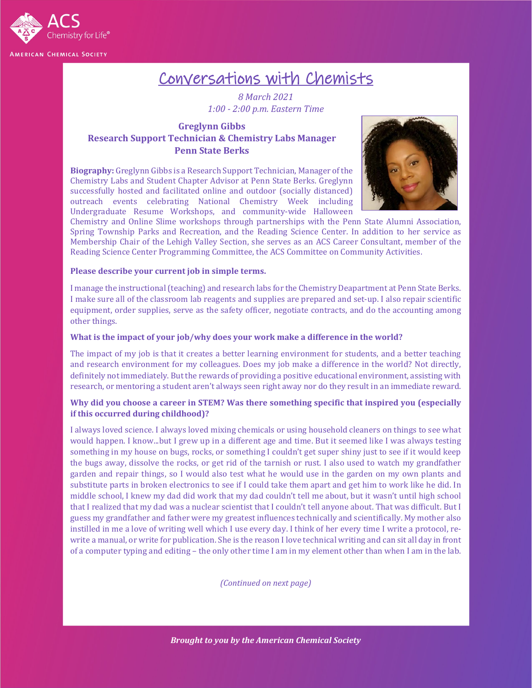

# Conversations with Chemists

*8 March 2021 1:00 - 2:00 p.m. Eastern Time*

## **Greglynn Gibbs Research Support Technician & Chemistry Labs Manager Penn State Berks**

**Biography:** Greglynn Gibbs is a Research Support Technician, Manager of the Chemistry Labs and Student Chapter Advisor at Penn State Berks. Greglynn successfully hosted and facilitated online and outdoor (socially distanced) outreach events celebrating National Chemistry Week including Undergraduate Resume Workshops, and community-wide Halloween



Chemistry and Online Slime workshops through partnerships with the Penn State Alumni Association, Spring Township Parks and Recreation, and the Reading Science Center. In addition to her service as Membership Chair of the Lehigh Valley Section, she serves as an ACS Career Consultant, member of the Reading Science Center Programming Committee, the ACS Committee on Community Activities.

#### **Please describe your current job in simple terms.**

I manage the instructional (teaching) and research labs for the Chemistry Deapartment at Penn State Berks. I make sure all of the classroom lab reagents and supplies are prepared and set-up. I also repair scientific equipment, order supplies, serve as the safety officer, negotiate contracts, and do the accounting among other things.

#### **What is the impact of your job/why does your work make a difference in the world?**

The impact of my job is that it creates a better learning environment for students, and a better teaching and research environment for my colleagues. Does my job make a difference in the world? Not directly, definitely not immediately. But the rewards of providing a positive educational environment, assisting with research, or mentoring a student aren't always seen right away nor do they result in an immediate reward.

#### **Why did you choose a career in STEM? Was there something specific that inspired you (especially if this occurred during childhood)?**

I always loved science. I always loved mixing chemicals or using household cleaners on things to see what would happen. I know...but I grew up in a different age and time. But it seemed like I was always testing something in my house on bugs, rocks, or something I couldn't get super shiny just to see if it would keep the bugs away, dissolve the rocks, or get rid of the tarnish or rust. I also used to watch my grandfather garden and repair things, so I would also test what he would use in the garden on my own plants and substitute parts in broken electronics to see if I could take them apart and get him to work like he did. In middle school, I knew my dad did work that my dad couldn't tell me about, but it wasn't until high school that I realized that my dad was a nuclear scientist that I couldn't tell anyone about. That was difficult. But I guess my grandfather and father were my greatest influences technically and scientifically. My mother also instilled in me a love of writing well which I use every day. I think of her every time I write a protocol, rewrite a manual, or write for publication. She is the reason I love technical writing and can sit all day in front of a computer typing and editing – the only other time I am in my element other than when I am in the lab.

*(Continued on next page)*

*Brought to you by the American Chemical Society*